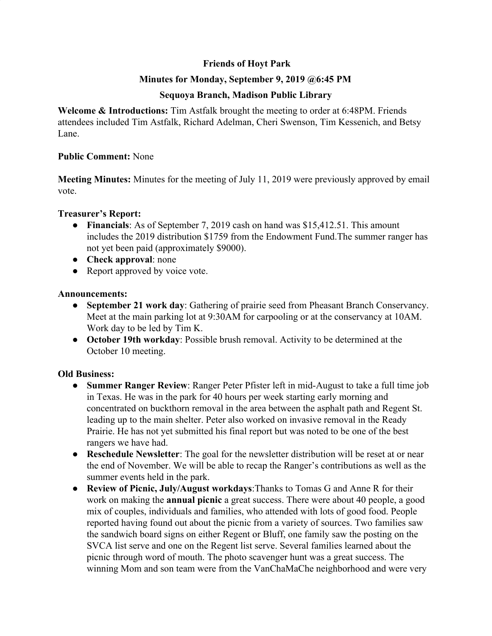# **Friends of Hoyt Park**

## **Minutes for Monday, September 9, 2019 @6:45 PM**

## **Sequoya Branch, Madison Public Library**

**Welcome & Introductions:** Tim Astfalk brought the meeting to order at 6:48PM. Friends attendees included Tim Astfalk, Richard Adelman, Cheri Swenson, Tim Kessenich, and Betsy Lane.

### **Public Comment:** None

**Meeting Minutes:** Minutes for the meeting of July 11, 2019 were previously approved by email vote.

### **Treasurer's Report:**

- **Financials**: As of September 7, 2019 cash on hand was \$15,412.51. This amount includes the 2019 distribution \$1759 from the Endowment Fund.The summer ranger has not yet been paid (approximately \$9000).
- **Check approval**: none
- Report approved by voice vote.

### **Announcements:**

- **● September 21 work day**: Gathering of prairie seed from Pheasant Branch Conservancy. Meet at the main parking lot at 9:30AM for carpooling or at the conservancy at 10AM. Work day to be led by Tim K.
- **● October 19th workday**: Possible brush removal. Activity to be determined at the October 10 meeting.

## **Old Business:**

- **● Summer Ranger Review**: Ranger Peter Pfister left in mid-August to take a full time job in Texas. He was in the park for 40 hours per week starting early morning and concentrated on buckthorn removal in the area between the asphalt path and Regent St. leading up to the main shelter. Peter also worked on invasive removal in the Ready Prairie. He has not yet submitted his final report but was noted to be one of the best rangers we have had.
- **● Reschedule Newsletter**: The goal for the newsletter distribution will be reset at or near the end of November. We will be able to recap the Ranger's contributions as well as the summer events held in the park.
- **● Review of Picnic, July/August workdays**:Thanks to Tomas G and Anne R for their work on making the **annual picnic** a great success. There were about 40 people, a good mix of couples, individuals and families, who attended with lots of good food. People reported having found out about the picnic from a variety of sources. Two families saw the sandwich board signs on either Regent or Bluff, one family saw the posting on the SVCA list serve and one on the Regent list serve. Several families learned about the picnic through word of mouth. The photo scavenger hunt was a great success. The winning Mom and son team were from the VanChaMaChe neighborhood and were very